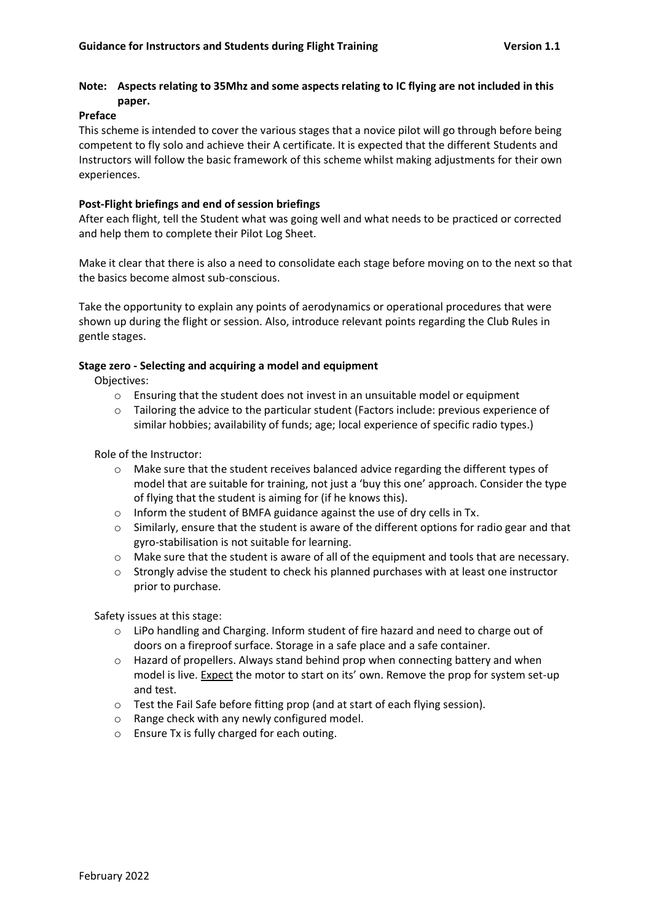# **Note: Aspects relating to 35Mhz and some aspects relating to IC flying are not included in this paper.**

#### **Preface**

This scheme is intended to cover the various stages that a novice pilot will go through before being competent to fly solo and achieve their A certificate. It is expected that the different Students and Instructors will follow the basic framework of this scheme whilst making adjustments for their own experiences.

### **Post-Flight briefings and end of session briefings**

After each flight, tell the Student what was going well and what needs to be practiced or corrected and help them to complete their Pilot Log Sheet.

Make it clear that there is also a need to consolidate each stage before moving on to the next so that the basics become almost sub-conscious.

Take the opportunity to explain any points of aerodynamics or operational procedures that were shown up during the flight or session. Also, introduce relevant points regarding the Club Rules in gentle stages.

### **Stage zero - Selecting and acquiring a model and equipment**

Objectives:

- o Ensuring that the student does not invest in an unsuitable model or equipment
- o Tailoring the advice to the particular student (Factors include: previous experience of similar hobbies; availability of funds; age; local experience of specific radio types.)

Role of the Instructor:

- o Make sure that the student receives balanced advice regarding the different types of model that are suitable for training, not just a 'buy this one' approach. Consider the type of flying that the student is aiming for (if he knows this).
- o Inform the student of BMFA guidance against the use of dry cells in Tx.
- $\circ$  Similarly, ensure that the student is aware of the different options for radio gear and that gyro-stabilisation is not suitable for learning.
- o Make sure that the student is aware of all of the equipment and tools that are necessary.
- $\circ$  Strongly advise the student to check his planned purchases with at least one instructor prior to purchase.

Safety issues at this stage:

- o LiPo handling and Charging. Inform student of fire hazard and need to charge out of doors on a fireproof surface. Storage in a safe place and a safe container.
- o Hazard of propellers. Always stand behind prop when connecting battery and when model is live. **Expect** the motor to start on its' own. Remove the prop for system set-up and test.
- o Test the Fail Safe before fitting prop (and at start of each flying session).
- o Range check with any newly configured model.
- o Ensure Tx is fully charged for each outing.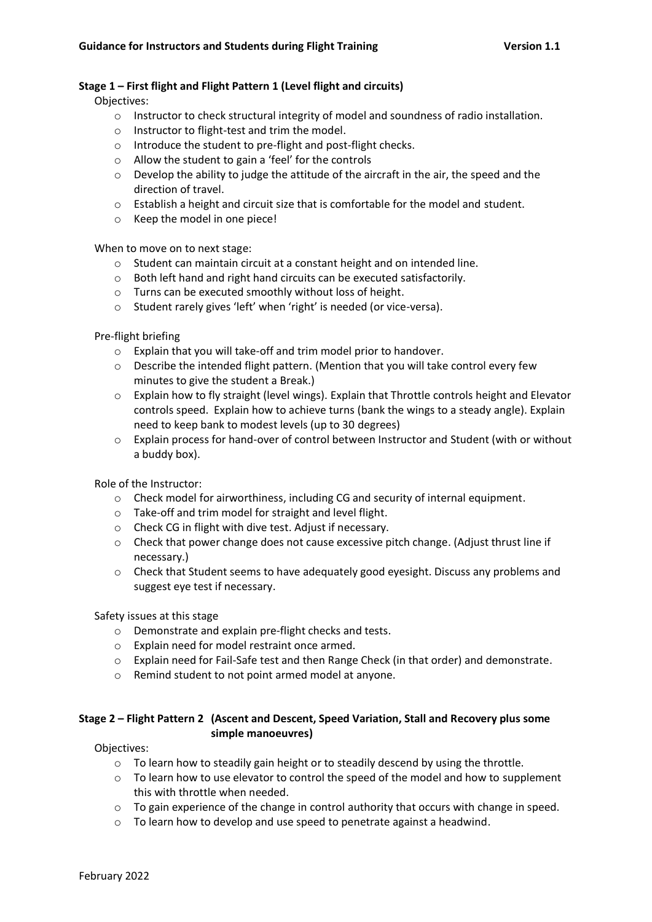### **Stage 1 – First flight and Flight Pattern 1 (Level flight and circuits)**

Objectives:

- o Instructor to check structural integrity of model and soundness of radio installation.
- o Instructor to flight-test and trim the model.
- o Introduce the student to pre-flight and post-flight checks.
- o Allow the student to gain a 'feel' for the controls
- $\circ$  Develop the ability to judge the attitude of the aircraft in the air, the speed and the direction of travel.
- o Establish a height and circuit size that is comfortable for the model and student.
- o Keep the model in one piece!

When to move on to next stage:

- o Student can maintain circuit at a constant height and on intended line.
- o Both left hand and right hand circuits can be executed satisfactorily.
- o Turns can be executed smoothly without loss of height.
- o Student rarely gives 'left' when 'right' is needed (or vice-versa).

Pre-flight briefing

- o Explain that you will take-off and trim model prior to handover.
- $\circ$  Describe the intended flight pattern. (Mention that you will take control every few minutes to give the student a Break.)
- o Explain how to fly straight (level wings). Explain that Throttle controls height and Elevator controls speed. Explain how to achieve turns (bank the wings to a steady angle). Explain need to keep bank to modest levels (up to 30 degrees)
- o Explain process for hand-over of control between Instructor and Student (with or without a buddy box).

Role of the Instructor:

- $\circ$  Check model for airworthiness, including CG and security of internal equipment.
- o Take-off and trim model for straight and level flight.
- o Check CG in flight with dive test. Adjust if necessary.
- o Check that power change does not cause excessive pitch change. (Adjust thrust line if necessary.)
- o Check that Student seems to have adequately good eyesight. Discuss any problems and suggest eye test if necessary.

Safety issues at this stage

- o Demonstrate and explain pre-flight checks and tests.
- o Explain need for model restraint once armed.
- o Explain need for Fail-Safe test and then Range Check (in that order) and demonstrate.
- o Remind student to not point armed model at anyone.

# **Stage 2 – Flight Pattern 2 (Ascent and Descent, Speed Variation, Stall and Recovery plus some simple manoeuvres)**

Objectives:

- o To learn how to steadily gain height or to steadily descend by using the throttle.
- o To learn how to use elevator to control the speed of the model and how to supplement this with throttle when needed.
- o To gain experience of the change in control authority that occurs with change in speed.
- o To learn how to develop and use speed to penetrate against a headwind.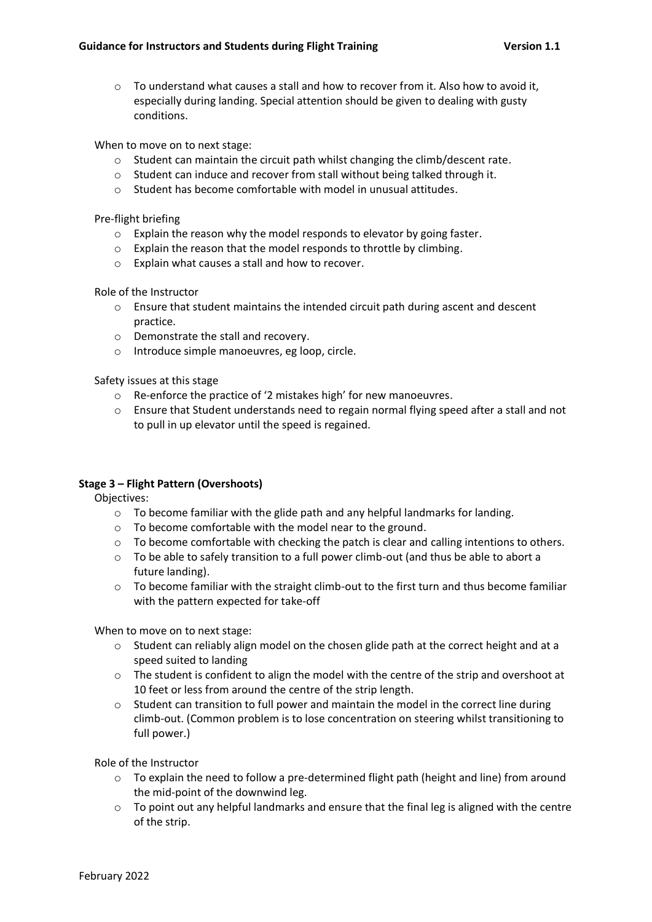$\circ$  To understand what causes a stall and how to recover from it. Also how to avoid it, especially during landing. Special attention should be given to dealing with gusty conditions.

When to move on to next stage:

- o Student can maintain the circuit path whilst changing the climb/descent rate.
- o Student can induce and recover from stall without being talked through it.
- o Student has become comfortable with model in unusual attitudes.

Pre-flight briefing

- o Explain the reason why the model responds to elevator by going faster.
- o Explain the reason that the model responds to throttle by climbing.
- o Explain what causes a stall and how to recover.

Role of the Instructor

- $\circ$  Ensure that student maintains the intended circuit path during ascent and descent practice.
- o Demonstrate the stall and recovery.
- o Introduce simple manoeuvres, eg loop, circle.

Safety issues at this stage

- o Re-enforce the practice of '2 mistakes high' for new manoeuvres.
- o Ensure that Student understands need to regain normal flying speed after a stall and not to pull in up elevator until the speed is regained.

### **Stage 3 – Flight Pattern (Overshoots)**

Objectives:

- $\circ$  To become familiar with the glide path and any helpful landmarks for landing.
- o To become comfortable with the model near to the ground.
- $\circ$  To become comfortable with checking the patch is clear and calling intentions to others.
- o To be able to safely transition to a full power climb-out (and thus be able to abort a future landing).
- $\circ$  To become familiar with the straight climb-out to the first turn and thus become familiar with the pattern expected for take-off

When to move on to next stage:

- o Student can reliably align model on the chosen glide path at the correct height and at a speed suited to landing
- o The student is confident to align the model with the centre of the strip and overshoot at 10 feet or less from around the centre of the strip length.
- o Student can transition to full power and maintain the model in the correct line during climb-out. (Common problem is to lose concentration on steering whilst transitioning to full power.)

Role of the Instructor

- $\circ$  To explain the need to follow a pre-determined flight path (height and line) from around the mid-point of the downwind leg.
- $\circ$  To point out any helpful landmarks and ensure that the final leg is aligned with the centre of the strip.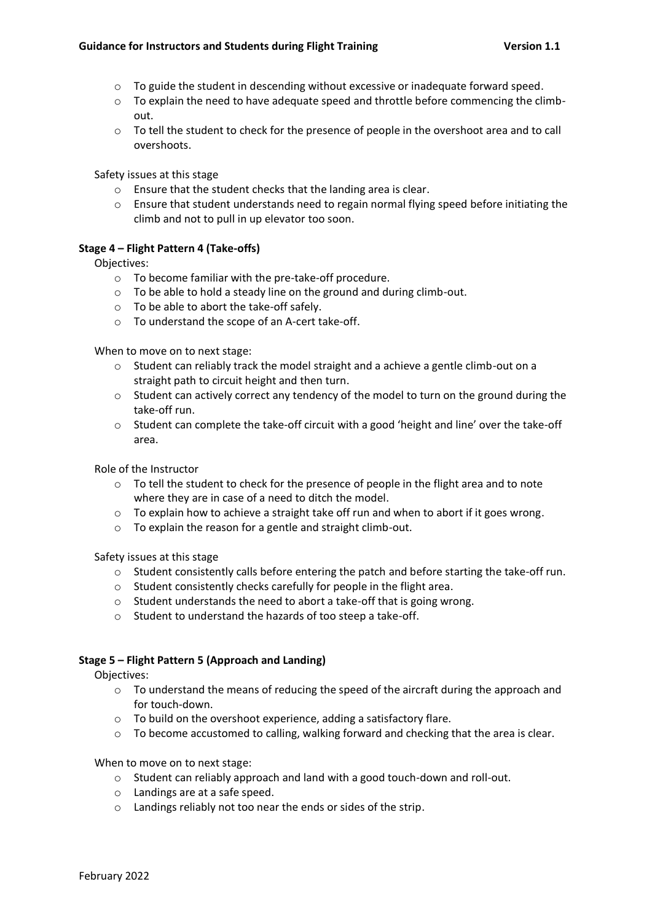- o To guide the student in descending without excessive or inadequate forward speed.
- $\circ$  To explain the need to have adequate speed and throttle before commencing the climbout.
- o To tell the student to check for the presence of people in the overshoot area and to call overshoots.

Safety issues at this stage

- o Ensure that the student checks that the landing area is clear.
- o Ensure that student understands need to regain normal flying speed before initiating the climb and not to pull in up elevator too soon.

### **Stage 4 – Flight Pattern 4 (Take-offs)**

Objectives:

- o To become familiar with the pre-take-off procedure.
- o To be able to hold a steady line on the ground and during climb-out.
- o To be able to abort the take-off safely.
- o To understand the scope of an A-cert take-off.

When to move on to next stage:

- $\circ$  Student can reliably track the model straight and a achieve a gentle climb-out on a straight path to circuit height and then turn.
- $\circ$  Student can actively correct any tendency of the model to turn on the ground during the take-off run.
- $\circ$  Student can complete the take-off circuit with a good 'height and line' over the take-off area.

Role of the Instructor

- o To tell the student to check for the presence of people in the flight area and to note where they are in case of a need to ditch the model.
- $\circ$  To explain how to achieve a straight take off run and when to abort if it goes wrong.
- o To explain the reason for a gentle and straight climb-out.

Safety issues at this stage

- $\circ$  Student consistently calls before entering the patch and before starting the take-off run.
- o Student consistently checks carefully for people in the flight area.
- o Student understands the need to abort a take-off that is going wrong.
- o Student to understand the hazards of too steep a take-off.

### **Stage 5 – Flight Pattern 5 (Approach and Landing)**

Objectives:

- o To understand the means of reducing the speed of the aircraft during the approach and for touch-down.
- o To build on the overshoot experience, adding a satisfactory flare.
- $\circ$  To become accustomed to calling, walking forward and checking that the area is clear.

When to move on to next stage:

- o Student can reliably approach and land with a good touch-down and roll-out.
- o Landings are at a safe speed.
- o Landings reliably not too near the ends or sides of the strip.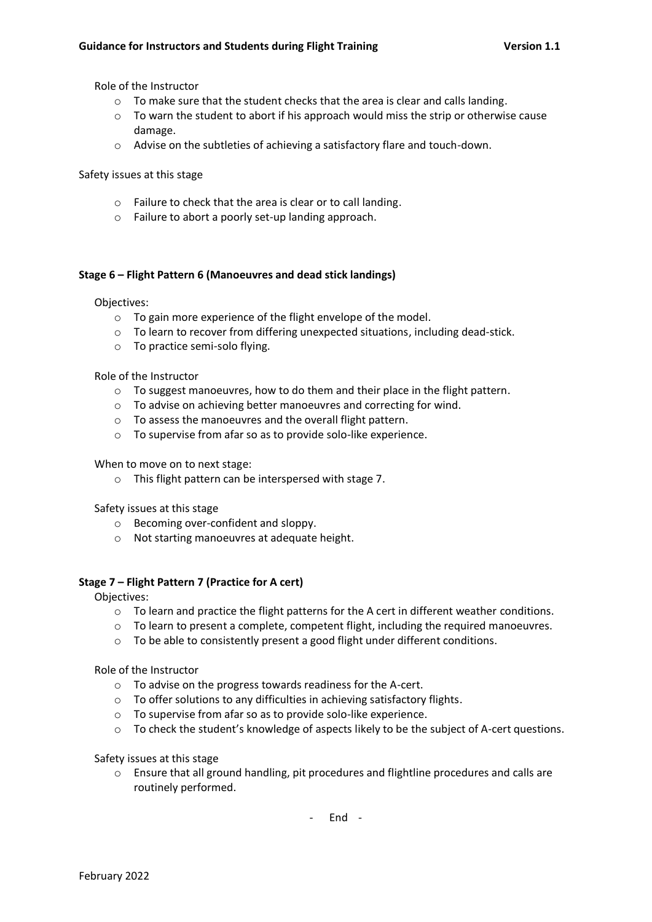Role of the Instructor

- o To make sure that the student checks that the area is clear and calls landing.
- $\circ$  To warn the student to abort if his approach would miss the strip or otherwise cause damage.
- o Advise on the subtleties of achieving a satisfactory flare and touch-down.

Safety issues at this stage

- o Failure to check that the area is clear or to call landing.
- o Failure to abort a poorly set-up landing approach.

### **Stage 6 – Flight Pattern 6 (Manoeuvres and dead stick landings)**

Objectives:

- o To gain more experience of the flight envelope of the model.
- $\circ$  To learn to recover from differing unexpected situations, including dead-stick.
- o To practice semi-solo flying.

Role of the Instructor

- $\circ$  To suggest manoeuvres, how to do them and their place in the flight pattern.
- o To advise on achieving better manoeuvres and correcting for wind.
- o To assess the manoeuvres and the overall flight pattern.
- o To supervise from afar so as to provide solo-like experience.

When to move on to next stage:

o This flight pattern can be interspersed with stage 7.

Safety issues at this stage

- o Becoming over-confident and sloppy.
- o Not starting manoeuvres at adequate height.

### **Stage 7 – Flight Pattern 7 (Practice for A cert)**

Objectives:

- o To learn and practice the flight patterns for the A cert in different weather conditions.
- o To learn to present a complete, competent flight, including the required manoeuvres.
- o To be able to consistently present a good flight under different conditions.

Role of the Instructor

- o To advise on the progress towards readiness for the A-cert.
- o To offer solutions to any difficulties in achieving satisfactory flights.
- o To supervise from afar so as to provide solo-like experience.
- o To check the student's knowledge of aspects likely to be the subject of A-cert questions.

Safety issues at this stage

o Ensure that all ground handling, pit procedures and flightline procedures and calls are routinely performed.

- End -